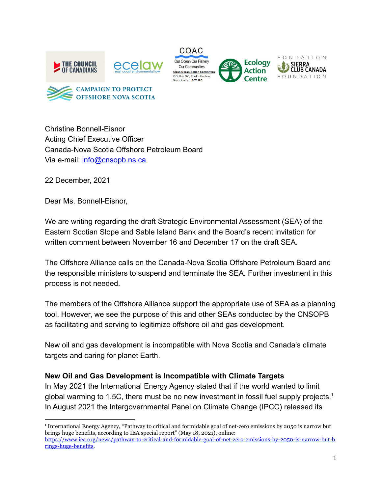









Christine Bonnell-Eisnor Acting Chief Executive Officer Canada-Nova Scotia Offshore Petroleum Board Via e-mail: [info@cnsopb.ns.ca](mailto:info@cnsopb.ns.ca)

22 December, 2021

Dear Ms. Bonnell-Eisnor,

We are writing regarding the draft Strategic Environmental Assessment (SEA) of the Eastern Scotian Slope and Sable Island Bank and the Board's recent invitation for written comment between November 16 and December 17 on the draft SEA.

The Offshore Alliance calls on the Canada-Nova Scotia Offshore Petroleum Board and the responsible ministers to suspend and terminate the SEA. Further investment in this process is not needed.

The members of the Offshore Alliance support the appropriate use of SEA as a planning tool. However, we see the purpose of this and other SEAs conducted by the CNSOPB as facilitating and serving to legitimize offshore oil and gas development.

New oil and gas development is incompatible with Nova Scotia and Canada's climate targets and caring for planet Earth.

## **New Oil and Gas Development is Incompatible with Climate Targets**

In May 2021 the International Energy Agency stated that if the world wanted to limit global warming to 1.5C, there must be no new investment in fossil fuel supply projects.<sup>1</sup> In August 2021 the Intergovernmental Panel on Climate Change (IPCC) released its

<sup>1</sup> International Energy Agency, "Pathway to critical and formidable goal of net-zero emissions by 2050 is narrow but brings huge benefits, according to IEA special report" (May 18, 2021), online: [https://www.iea.org/news/pathway-to-critical-and-formidable-goal-of-net-zero-emissions-by-2050-is-narrow-but-b](https://www.iea.org/news/pathway-to-critical-and-formidable-goal-of-net-zero-emissions-by-2050-is-narrow-but-brings-huge-benefits) [rings-huge-benefits.](https://www.iea.org/news/pathway-to-critical-and-formidable-goal-of-net-zero-emissions-by-2050-is-narrow-but-brings-huge-benefits)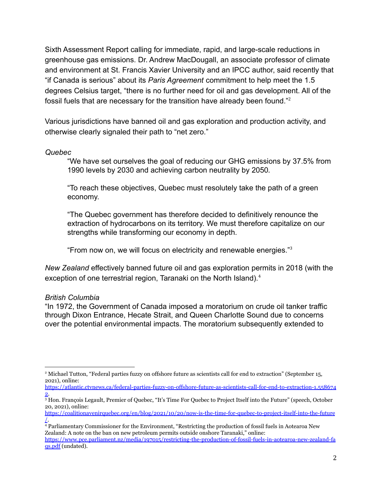Sixth Assessment Report calling for immediate, rapid, and large-scale reductions in greenhouse gas emissions. Dr. Andrew MacDougall, an associate professor of climate and environment at St. Francis Xavier University and an IPCC author, said recently that "if Canada is serious" about its *Paris Agreement* commitment to help meet the 1.5 degrees Celsius target, "there is no further need for oil and gas development. All of the fossil fuels that are necessary for the transition have already been found."<sup>2</sup>

Various jurisdictions have banned oil and gas exploration and production activity, and otherwise clearly signaled their path to "net zero."

*Quebec*

"We have set ourselves the goal of reducing our GHG emissions by 37.5% from 1990 levels by 2030 and achieving carbon neutrality by 2050.

"To reach these objectives, Quebec must resolutely take the path of a green economy.

"The Quebec government has therefore decided to definitively renounce the extraction of hydrocarbons on its territory. We must therefore capitalize on our strengths while transforming our economy in depth.

"From now on, we will focus on electricity and renewable energies."<sup>3</sup>

*New Zealand* effectively banned future oil and gas exploration permits in 2018 (with the exception of one terrestrial region, Taranaki on the North Island).<sup>4</sup>

## *British Columbia*

"In 1972, the Government of Canada imposed a moratorium on crude oil tanker traffic through Dixon Entrance, Hecate Strait, and Queen Charlotte Sound due to concerns over the potential environmental impacts. The moratorium subsequently extended to

<sup>2</sup> Michael Tutton, "Federal parties fuzzy on offshore future as scientists call for end to extraction" (September 15, 2021), online:

[https://atlantic.ctvnews.ca/federal-parties-fuzzy-on-offshore-future-as-scientists-call-for-end-to-extraction-1.558674](https://atlantic.ctvnews.ca/federal-parties-fuzzy-on-offshore-future-as-scientists-call-for-end-to-extraction-1.5586742)  $\overline{2}$  $\overline{2}$  $\overline{2}$ .

<sup>3</sup> Hon. François Legault, Premier of Quebec, "It's Time For Quebec to Project Itself into the Future" (speech, October 20, 2021), online:

[https://coalitionavenirquebec.org/en/blog/2021/10/20/now-is-the-time-for-quebec-to-project-itself-into-the-future](https://coalitionavenirquebec.org/en/blog/2021/10/20/now-is-the-time-for-quebec-to-project-itself-into-the-future/) [/](https://coalitionavenirquebec.org/en/blog/2021/10/20/now-is-the-time-for-quebec-to-project-itself-into-the-future/).

<sup>4</sup> Parliamentary Commissioner for the Environment, "Restricting the production of fossil fuels in Aotearoa New Zealand: A note on the ban on new petroleum permits outside onshore Taranaki," online:

[https://www.pce.parliament.nz/media/197015/restricting-the-production-of-fossil-fuels-in-aotearoa-new-zealand-fa](https://www.pce.parliament.nz/media/197015/restricting-the-production-of-fossil-fuels-in-aotearoa-new-zealand-faqs.pdf) [qs.pdf](https://www.pce.parliament.nz/media/197015/restricting-the-production-of-fossil-fuels-in-aotearoa-new-zealand-faqs.pdf) (undated).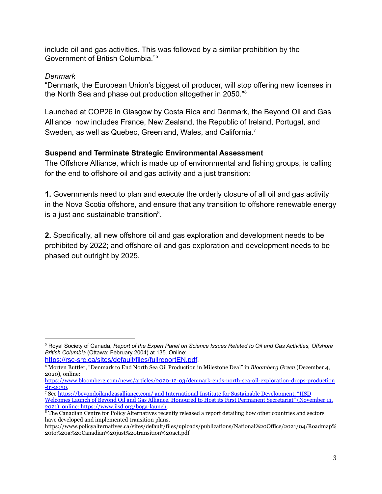include oil and gas activities. This was followed by a similar prohibition by the Government of British Columbia<sup>"5</sup>

## *Denmark*

"Denmark, the European Union's biggest oil producer, will stop offering new licenses in the North Sea and phase out production altogether in 2050."<sup>6</sup>

Launched at COP26 in Glasgow by Costa Rica and Denmark, the Beyond Oil and Gas Alliance now includes France, New Zealand, the Republic of Ireland, Portugal, and Sweden, as well as Quebec, Greenland, Wales, and California.<sup>7</sup>

## **Suspend and Terminate Strategic Environmental Assessment**

The Offshore Alliance, which is made up of environmental and fishing groups, is calling for the end to offshore oil and gas activity and a just transition:

**1.** Governments need to plan and execute the orderly closure of all oil and gas activity in the Nova Scotia offshore, and ensure that any transition to offshore renewable energy is a just and sustainable transition $8$ .

**2.** Specifically, all new offshore oil and gas exploration and development needs to be prohibited by 2022; and offshore oil and gas exploration and development needs to be phased out outright by 2025.

<https://rsc-src.ca/sites/default/files/fullreportEN.pdf>.

<sup>5</sup> Royal Society of Canada, *Report of the Expert Panel on Science Issues Related to Oil and Gas Activities, Offshore British Columbia* (Ottawa: February 2004) at 135. Online:

<sup>6</sup> Morten Buttler, "Denmark to End North Sea Oil Production in Milestone Deal" in *Bloomberg Green* (December 4, 2020), online:

[https://www.bloomberg.com/news/articles/2020-12-03/denmark-ends-north-sea-oil-exploration-drops-production](https://www.bloomberg.com/news/articles/2020-12-03/denmark-ends-north-sea-oil-exploration-drops-production-in-2050) [-in-2050.](https://www.bloomberg.com/news/articles/2020-12-03/denmark-ends-north-sea-oil-exploration-drops-production-in-2050)

<sup>7</sup> See <https://beyondoilandgasalliance.com/> and International Institute for Sustainable Development, "IISD Welcomes Launch of Beyond Oil and Gas Alliance, Honoured to Host its First Permanent Secretariat" (November 11, 2021), online: https://www.iisd.org/boga-launch.

<sup>&</sup>lt;sup>8</sup> The Canadian Centre for Policy Alternatives recently released a report detailing how other countries and sectors have developed and implemented transition plans.

https://www.policyalternatives.ca/sites/default/files/uploads/publications/National%20Office/2021/04/Roadmap% 20to%20a%20Canadian%20just%20transition%20act.pdf